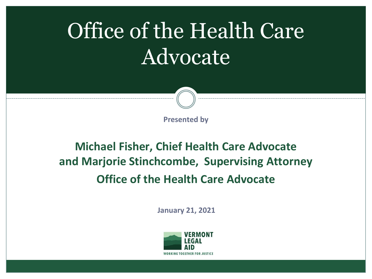# Office of the Health Care Advocate



**Presented by**

#### **Michael Fisher, Chief Health Care Advocate and Marjorie Stinchcombe, Supervising Attorney Office of the Health Care Advocate**

**January 21, 2021**

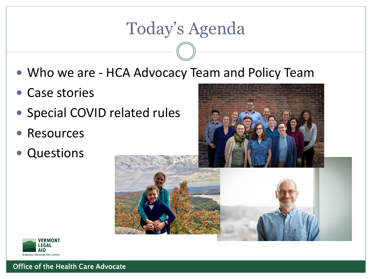#### Today's Agenda

- Who we are HCA Advocacy Team and Policy Team
- Case stories
- Special COVID related rules
- Resources
- Questions



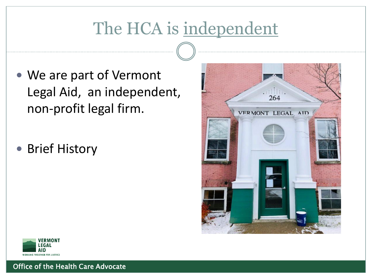# The HCA is independent

- We are part of Vermont Legal Aid, an independent, non-profit legal firm.
- Brief History



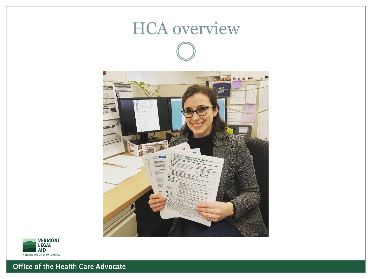#### HCA overview



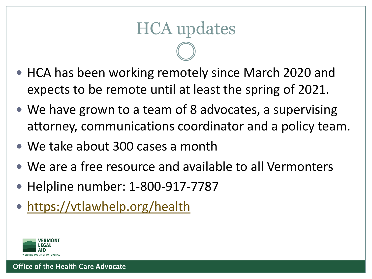#### HCA updates

- HCA has been working remotely since March 2020 and expects to be remote until at least the spring of 2021.
- We have grown to a team of 8 advocates, a supervising attorney, communications coordinator and a policy team.
- We take about 300 cases a month
- We are a free resource and available to all Vermonters
- Helpline number: 1-800-917-7787
- <https://vtlawhelp.org/health>

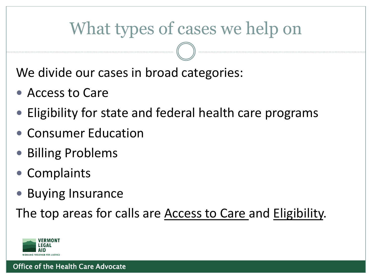#### What types of cases we help on

We divide our cases in broad categories:

- Access to Care
- Eligibility for state and federal health care programs
- Consumer Education
- Billing Problems
- Complaints
- Buying Insurance

The top areas for calls are **Access to Care and Eligibility**.

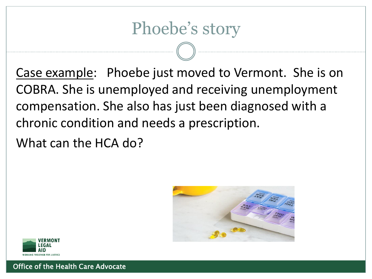Phoebe's story

Case example: Phoebe just moved to Vermont. She is on COBRA. She is unemployed and receiving unemployment compensation. She also has just been diagnosed with a chronic condition and needs a prescription.

What can the HCA do?



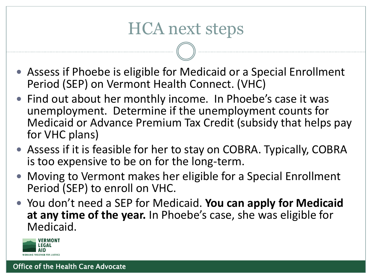#### HCA next steps

- Assess if Phoebe is eligible for Medicaid or a Special Enrollment Period (SEP) on Vermont Health Connect. (VHC)
- Find out about her monthly income. In Phoebe's case it was unemployment. Determine if the unemployment counts for Medicaid or Advance Premium Tax Credit (subsidy that helps pay for VHC plans)
- Assess if it is feasible for her to stay on COBRA. Typically, COBRA is too expensive to be on for the long-term.
- Moving to Vermont makes her eligible for a Special Enrollment Period (SEP) to enroll on VHC.
- You don't need a SEP for Medicaid. **You can apply for Medicaid at any time of the year.** In Phoebe's case, she was eligible for Medicaid.

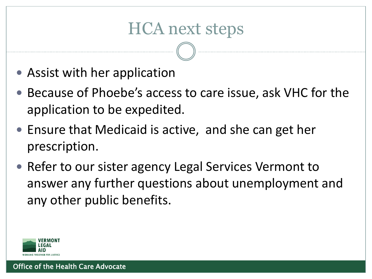#### HCA next steps

- Assist with her application
- Because of Phoebe's access to care issue, ask VHC for the application to be expedited.
- Ensure that Medicaid is active, and she can get her prescription.
- Refer to our sister agency Legal Services Vermont to answer any further questions about unemployment and any other public benefits.

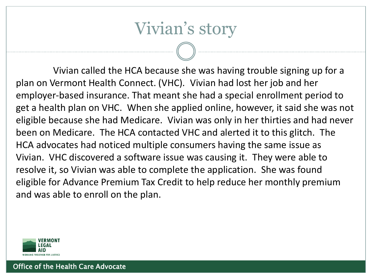#### Vivian's story

Vivian called the HCA because she was having trouble signing up for a plan on Vermont Health Connect. (VHC). Vivian had lost her job and her employer-based insurance. That meant she had a special enrollment period to get a health plan on VHC. When she applied online, however, it said she was not eligible because she had Medicare. Vivian was only in her thirties and had never been on Medicare. The HCA contacted VHC and alerted it to this glitch. The HCA advocates had noticed multiple consumers having the same issue as Vivian. VHC discovered a software issue was causing it. They were able to resolve it, so Vivian was able to complete the application. She was found eligible for Advance Premium Tax Credit to help reduce her monthly premium and was able to enroll on the plan.

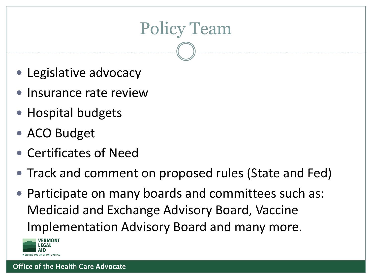## Policy Team

- Legislative advocacy
- Insurance rate review
- Hospital budgets
- ACO Budget
- Certificates of Need
- Track and comment on proposed rules (State and Fed)
- Participate on many boards and committees such as: Medicaid and Exchange Advisory Board, Vaccine Implementation Advisory Board and many more.

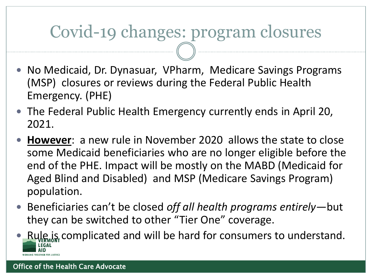#### Covid-19 changes: program closures

- No Medicaid, Dr. Dynasuar, VPharm, Medicare Savings Programs (MSP) closures or reviews during the Federal Public Health Emergency. (PHE)
- The Federal Public Health Emergency currently ends in April 20, 2021.
- **However**: a new rule in November 2020 allows the state to close some Medicaid beneficiaries who are no longer eligible before the end of the PHE. Impact will be mostly on the MABD (Medicaid for Aged Blind and Disabled) and MSP (Medicare Savings Program) population.
- Beneficiaries can't be closed *off all health programs entirely*—but they can be switched to other "Tier One" coverage.
- Rule is complicated and will be hard for consumers to understand.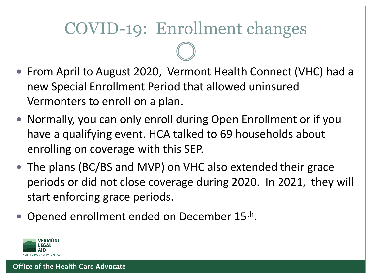#### COVID-19: Enrollment changes

- From April to August 2020, Vermont Health Connect (VHC) had a new Special Enrollment Period that allowed uninsured Vermonters to enroll on a plan.
- Normally, you can only enroll during Open Enrollment or if you have a qualifying event. HCA talked to 69 households about enrolling on coverage with this SEP.
- The plans (BC/BS and MVP) on VHC also extended their grace periods or did not close coverage during 2020. In 2021, they will start enforcing grace periods.
- Opened enrollment ended on December 15<sup>th</sup>.

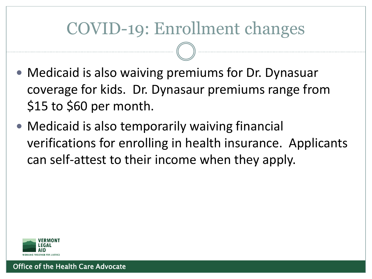#### COVID-19: Enrollment changes

- Medicaid is also waiving premiums for Dr. Dynasuar coverage for kids. Dr. Dynasaur premiums range from \$15 to \$60 per month.
- Medicaid is also temporarily waiving financial verifications for enrolling in health insurance. Applicants can self-attest to their income when they apply.

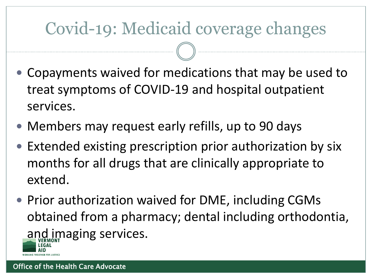## Covid-19: Medicaid coverage changes

- Copayments waived for medications that may be used to treat symptoms of COVID-19 and hospital outpatient services.
- Members may request early refills, up to 90 days
- Extended existing prescription prior authorization by six months for all drugs that are clinically appropriate to extend.
- Prior authorization waived for DME, including CGMs obtained from a pharmacy; dental including orthodontia, and imaging services.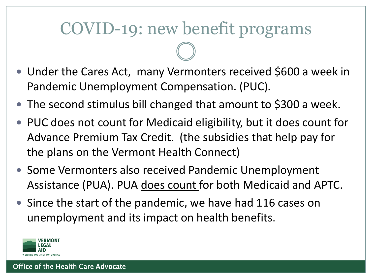#### COVID-19: new benefit programs

- Under the Cares Act, many Vermonters received \$600 a week in Pandemic Unemployment Compensation. (PUC).
- The second stimulus bill changed that amount to \$300 a week.
- PUC does not count for Medicaid eligibility, but it does count for Advance Premium Tax Credit. (the subsidies that help pay for the plans on the Vermont Health Connect)
- Some Vermonters also received Pandemic Unemployment Assistance (PUA). PUA does count for both Medicaid and APTC.
- Since the start of the pandemic, we have had 116 cases on unemployment and its impact on health benefits.

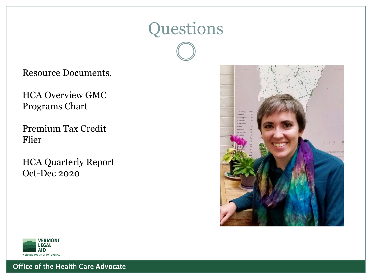

#### Resource Documents,

HCA Overview GMC Programs Chart

Premium Tax Credit Flier

HCA Quarterly Report Oct-Dec 2020